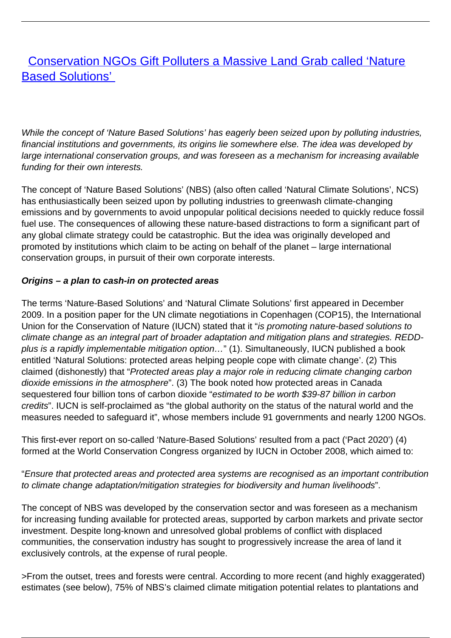# **[Conservation NGOs Gift Polluters a Massive Land Grab called 'Nature](/bulletin-articles/conservation-ngos-gift-polluters-a-massive-land-grab-called-nature-based-solutions)** [Based Solutions'](/bulletin-articles/conservation-ngos-gift-polluters-a-massive-land-grab-called-nature-based-solutions)

While the concept of 'Nature Based Solutions' has eagerly been seized upon by polluting industries, financial institutions and governments, its origins lie somewhere else. The idea was developed by large international conservation groups, and was foreseen as a mechanism for increasing available funding for their own interests.

The concept of 'Nature Based Solutions' (NBS) (also often called 'Natural Climate Solutions', NCS) has enthusiastically been seized upon by polluting industries to greenwash climate-changing emissions and by governments to avoid unpopular political decisions needed to quickly reduce fossil fuel use. The consequences of allowing these nature-based distractions to form a significant part of any global climate strategy could be catastrophic. But the idea was originally developed and promoted by institutions which claim to be acting on behalf of the planet – large international conservation groups, in pursuit of their own corporate interests.

#### **Origins – a plan to cash-in on protected areas**

The terms 'Nature-Based Solutions' and 'Natural Climate Solutions' first appeared in December 2009. In a position paper for the UN climate negotiations in Copenhagen (COP15), the International Union for the Conservation of Nature (IUCN) stated that it "is promoting nature-based solutions to climate change as an integral part of broader adaptation and mitigation plans and strategies. REDDplus is a rapidly implementable mitigation option…" (1). Simultaneously, IUCN published a book entitled 'Natural Solutions: protected areas helping people cope with climate change'. (2) This claimed (dishonestly) that "Protected areas play a major role in reducing climate changing carbon dioxide emissions in the atmosphere". (3) The book noted how protected areas in Canada sequestered four billion tons of carbon dioxide "estimated to be worth \$39-87 billion in carbon credits". IUCN is self-proclaimed as "the global authority on the status of the natural world and the measures needed to safeguard it", whose members include 91 governments and nearly 1200 NGOs.

This first-ever report on so-called 'Nature-Based Solutions' resulted from a pact ('Pact 2020') (4) formed at the World Conservation Congress organized by IUCN in October 2008, which aimed to:

#### "Ensure that protected areas and protected area systems are recognised as an important contribution to climate change adaptation/mitigation strategies for biodiversity and human livelihoods".

The concept of NBS was developed by the conservation sector and was foreseen as a mechanism for increasing funding available for protected areas, supported by carbon markets and private sector investment. Despite long-known and unresolved global problems of conflict with displaced communities, the conservation industry has sought to progressively increase the area of land it exclusively controls, at the expense of rural people.

>From the outset, trees and forests were central. According to more recent (and highly exaggerated) estimates (see below), 75% of NBS's claimed climate mitigation potential relates to plantations and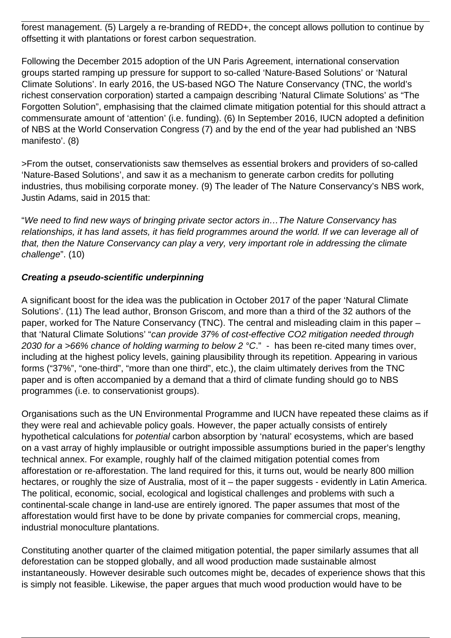forest management. (5) Largely a re-branding of REDD+, the concept allows pollution to continue by offsetting it with plantations or forest carbon sequestration.

Following the December 2015 adoption of the UN Paris Agreement, international conservation groups started ramping up pressure for support to so-called 'Nature-Based Solutions' or 'Natural Climate Solutions'. In early 2016, the US-based NGO The Nature Conservancy (TNC, the world's richest conservation corporation) started a campaign describing 'Natural Climate Solutions' as "The Forgotten Solution", emphasising that the claimed climate mitigation potential for this should attract a commensurate amount of 'attention' (i.e. funding). (6) In September 2016, IUCN adopted a definition of NBS at the World Conservation Congress (7) and by the end of the year had published an 'NBS manifesto'. (8)

>From the outset, conservationists saw themselves as essential brokers and providers of so-called 'Nature-Based Solutions', and saw it as a mechanism to generate carbon credits for polluting industries, thus mobilising corporate money. (9) The leader of The Nature Conservancy's NBS work, Justin Adams, said in 2015 that:

"We need to find new ways of bringing private sector actors in…The Nature Conservancy has relationships, it has land assets, it has field programmes around the world. If we can leverage all of that, then the Nature Conservancy can play a very, very important role in addressing the climate challenge". (10)

#### **Creating a pseudo-scientific underpinning**

A significant boost for the idea was the publication in October 2017 of the paper 'Natural Climate Solutions'. (11) The lead author, Bronson Griscom, and more than a third of the 32 authors of the paper, worked for The Nature Conservancy (TNC). The central and misleading claim in this paper – that 'Natural Climate Solutions' "can provide 37% of cost-effective CO2 mitigation needed through 2030 for a >66% chance of holding warming to below 2  $^{\circ}$ C." - has been re-cited many times over, including at the highest policy levels, gaining plausibility through its repetition. Appearing in various forms ("37%", "one-third", "more than one third", etc.), the claim ultimately derives from the TNC paper and is often accompanied by a demand that a third of climate funding should go to NBS programmes (i.e. to conservationist groups).

Organisations such as the UN Environmental Programme and IUCN have repeated these claims as if they were real and achievable policy goals. However, the paper actually consists of entirely hypothetical calculations for potential carbon absorption by 'natural' ecosystems, which are based on a vast array of highly implausible or outright impossible assumptions buried in the paper's lengthy technical annex. For example, roughly half of the claimed mitigation potential comes from afforestation or re-afforestation. The land required for this, it turns out, would be nearly 800 million hectares, or roughly the size of Australia, most of it – the paper suggests - evidently in Latin America. The political, economic, social, ecological and logistical challenges and problems with such a continental-scale change in land-use are entirely ignored. The paper assumes that most of the afforestation would first have to be done by private companies for commercial crops, meaning, industrial monoculture plantations.

Constituting another quarter of the claimed mitigation potential, the paper similarly assumes that all deforestation can be stopped globally, and all wood production made sustainable almost instantaneously. However desirable such outcomes might be, decades of experience shows that this is simply not feasible. Likewise, the paper argues that much wood production would have to be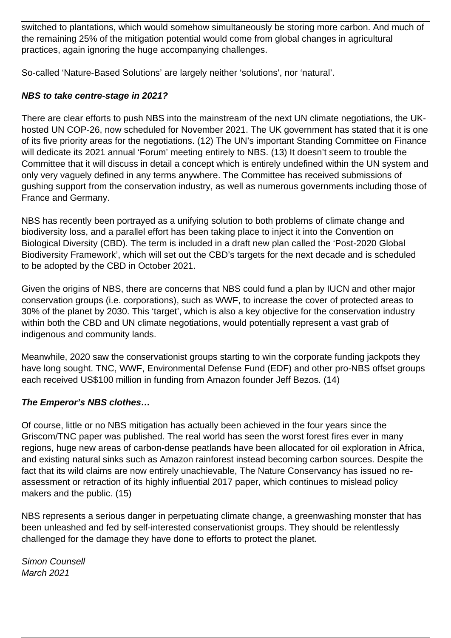switched to plantations, which would somehow simultaneously be storing more carbon. And much of the remaining 25% of the mitigation potential would come from global changes in agricultural practices, again ignoring the huge accompanying challenges.

So-called 'Nature-Based Solutions' are largely neither 'solutions', nor 'natural'.

### **NBS to take centre-stage in 2021?**

There are clear efforts to push NBS into the mainstream of the next UN climate negotiations, the UKhosted UN COP-26, now scheduled for November 2021. The UK government has stated that it is one of its five priority areas for the negotiations. (12) The UN's important Standing Committee on Finance will dedicate its 2021 annual 'Forum' meeting entirely to NBS. (13) It doesn't seem to trouble the Committee that it will discuss in detail a concept which is entirely undefined within the UN system and only very vaguely defined in any terms anywhere. The Committee has received submissions of gushing support from the conservation industry, as well as numerous governments including those of France and Germany.

NBS has recently been portrayed as a unifying solution to both problems of climate change and biodiversity loss, and a parallel effort has been taking place to inject it into the Convention on Biological Diversity (CBD). The term is included in a draft new plan called the 'Post-2020 Global Biodiversity Framework', which will set out the CBD's targets for the next decade and is scheduled to be adopted by the CBD in October 2021.

Given the origins of NBS, there are concerns that NBS could fund a plan by IUCN and other major conservation groups (i.e. corporations), such as WWF, to increase the cover of protected areas to 30% of the planet by 2030. This 'target', which is also a key objective for the conservation industry within both the CBD and UN climate negotiations, would potentially represent a vast grab of indigenous and community lands.

Meanwhile, 2020 saw the conservationist groups starting to win the corporate funding jackpots they have long sought. TNC, WWF, Environmental Defense Fund (EDF) and other pro-NBS offset groups each received US\$100 million in funding from Amazon founder Jeff Bezos. (14)

## **The Emperor's NBS clothes…**

Of course, little or no NBS mitigation has actually been achieved in the four years since the Griscom/TNC paper was published. The real world has seen the worst forest fires ever in many regions, huge new areas of carbon-dense peatlands have been allocated for oil exploration in Africa, and existing natural sinks such as Amazon rainforest instead becoming carbon sources. Despite the fact that its wild claims are now entirely unachievable, The Nature Conservancy has issued no reassessment or retraction of its highly influential 2017 paper, which continues to mislead policy makers and the public. (15)

NBS represents a serious danger in perpetuating climate change, a greenwashing monster that has been unleashed and fed by self-interested conservationist groups. They should be relentlessly challenged for the damage they have done to efforts to protect the planet.

Simon Counsell March 2021